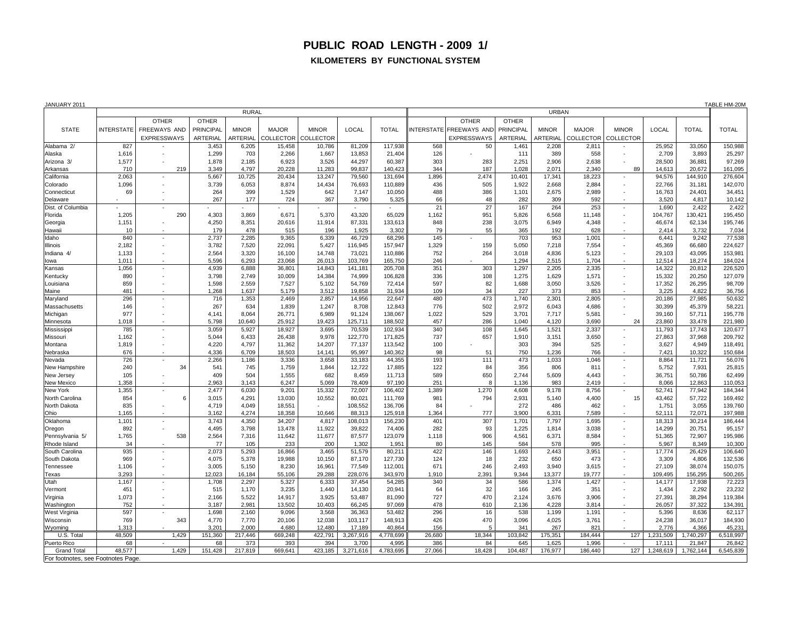## **PUBLIC ROAD LENGTH - 2009 1/ KILOMETERS BY FUNCTIONAL SYSTEM**

| JANUARY 2011                       |                   |                          |                  |                 |                  |                  |                   |                   |              |                         |                  |                 |                  | TABLE HM-20M                       |                  |                  |                   |
|------------------------------------|-------------------|--------------------------|------------------|-----------------|------------------|------------------|-------------------|-------------------|--------------|-------------------------|------------------|-----------------|------------------|------------------------------------|------------------|------------------|-------------------|
|                                    | <b>RURAL</b>      |                          |                  |                 |                  |                  |                   |                   | <b>URBAN</b> |                         |                  |                 |                  |                                    |                  |                  |                   |
|                                    |                   | <b>OTHER</b>             | <b>OTHER</b>     |                 |                  |                  |                   |                   |              | <b>OTHER</b>            | <b>OTHER</b>     |                 |                  |                                    |                  |                  |                   |
| <b>STATE</b>                       | <b>INTERSTATE</b> | FREEWAYS AND             | <b>PRINCIPAL</b> | <b>MINOR</b>    | <b>MAJOR</b>     | <b>MINOR</b>     | <b>LOCAL</b>      | <b>TOTAL</b>      |              | INTERSTATE FREEWAYS AND | <b>PRINCIPAL</b> | <b>MINOR</b>    | <b>MAJOR</b>     | <b>MINOR</b>                       | <b>LOCAL</b>     | <b>TOTAL</b>     | <b>TOTAL</b>      |
|                                    |                   | <b>EXPRESSWAYS</b>       | <b>ARTERIAL</b>  | <b>ARTERIAL</b> | <b>COLLECTOR</b> | <b>COLLECTOR</b> |                   |                   |              | <b>EXPRESSWAYS</b>      | <b>ARTERIAL</b>  | <b>ARTERIAL</b> | <b>COLLECTOR</b> | <b>COLLECTOR</b>                   |                  |                  |                   |
| Alabama 2/                         | 827               |                          | 3,453            | 6,205           | 15,458           | 10,786           | 81,209            | 117,938           | 568          | 50                      | 1,461            | 2,208           | 2,811            |                                    | 25,952           | 33,050           | 150,988           |
| Alaska                             | 1,616             | $\overline{\phantom{a}}$ | 1,299            | 703             | 2,266            | 1,667            | 13,853            | 21,404            | 126          |                         | 111              | 389             | 558              | $\sim$                             | 2,709            | 3,893            | 25,297            |
| Arizona 3/                         | 1,577             |                          | 1,878            | 2,185           | 6,923            | 3,526            | 44,297            | 60,387            | 303          | 283                     | 2,251            | 2,906           | 2,638            |                                    | 28,500           | 36,881           | 97,269            |
| Arkansas                           | 710               | 219                      | 3,349            | 4,797           | 20,228           | 11,283           | 99,837            | 140,423           | 344          | 187                     | 1,028            | 2,071           | 2,340            | 89                                 | 14,613           | 20,672           | 161,095           |
| California                         | 2,063             | $\sim$                   | 5,667            | 10,725          | 20,434           | 13,247           | 79,560            | 131,694           | 1,896        | 2,474                   | 10,401           | 17,341          | 18,223           | $\sim$                             | 94,576           | 144,910          | 276,604           |
| Colorado                           | 1,096             |                          | 3,739            | 6,053           | 8,874            | 14,434           | 76,693            | 110,889           | 436          | 505                     | 1,922            | 2,668           | 2,884            | $\sim$                             | 22,766           | 31,181           | 142,070           |
| Connecticut                        | 69                |                          | 264              | 399             | 1,529            | 642              | 7,147             | 10,050            | 488          | 386                     | 1,101            | 2,675           | 2,989            | $\sim$                             | 16,763           | 24,401           | 34,451            |
| Delaware                           |                   |                          | 267              | 177             | 724              | 367              | 3,790             | 5,325             | 66           | 48                      | 282              | 309             | 592              |                                    | 3,520            | 4,817            | 10,142            |
| Dist. of Columbia                  |                   | $\sim$                   | $\sim$           |                 |                  |                  |                   |                   | 21           | 27                      | 167              | 264             | 253              | $\sim$                             | 1,690            | 2,422            | 2,422             |
| Florida                            | 1,205             | 290                      | 4,303            | 3,869           | 6,671            | 5,370            | 43,320            | 65,029            | 1,162        | 951                     | 5,826            | 6,568           | 11,148           | $\sim$                             | 104,767          | 130,421          | 195,450           |
| Georgia                            | 1,151             |                          | 4,250            | 8,351           | 20,616           | 11,914           | 87,331            | 133,613           | 848          | 238                     | 3,075            | 6,949           | 4,348            | $\sim$                             | 46,674           | 62,134           | 195,746           |
| Hawaii<br>Idaho                    | 10<br>840         |                          | 179<br>2,737     | 478<br>2,285    | 515<br>9,365     | 196<br>6,339     | 1,925<br>46,729   | 3,302<br>68,296   | 79<br>145    | 55                      | 365<br>703       | 192<br>953      | 628<br>1,001     |                                    | 2,414<br>6,441   | 3,732<br>9,242   | 7,034<br>77,538   |
| Illinois                           | 2,182             | $\sim$                   | 3,782            | 7,520           | 22,091           | 5,427            | 116,945           | 157,947           | 1,329        | 159                     | 5,050            | 7,218           | 7,554            | $\sim$<br>$\sim$                   | 45,369           | 66,680           | 224,627           |
| Indiana 4/                         | 1,133             | $\sim$                   | 2,564            | 3,320           | 16,100           | 14,748           | 73,021            | 110,886           | 752          | 264                     | 3,018            | 4,836           | 5,123            | $\sim$                             | 29,103           | 43,095           | 153,981           |
| lowa                               | 1,011             |                          | 5,596            | 6,293           | 23,068           | 26,013           | 103,769           | 165,750           | 246          |                         | 1,294            | 2,515           | 1,704            |                                    | 12,514           | 18,274           | 184,024           |
| Kansas                             | 1,056             | $\sim$                   | 4,939            | 6,888           | 36,801           | 14,843           | 141,181           | 205,708           | 351          | 303                     | 1,297            | 2,205           | 2,335            | $\sim$                             | 14,322           | 20,812           | 226,520           |
| Kentucky                           | 890               | $\overline{\phantom{a}}$ | 3,798            | 2,749           | 10,009           | 14,384           | 74,999            | 106,828           | 336          | 108                     | 1,275            | 1,629           | 1,571            | $\sim$                             | 15,332           | 20,250           | 127,079           |
| Louisiana                          | 859               |                          | 1,598            | 2,559           | 7,527            | 5,102            | 54,769            | 72,414            | 597          | 82                      | 1,688            | 3,050           | 3,526            |                                    | 17,352           | 26,295           | 98,709            |
| Maine                              | 481               |                          | 1,268            | 1,637           | 5,179            | 3,512            | 19,858            | 31,934            | 109          | 34                      | 227              | 373             | 853              |                                    | 3,225            | 4,822            | 36,756            |
| Maryland                           | 296               | $\sim$                   | 716              | 1,353           | 2,469            | 2,857            | 14,956            | 22,647            | 480          | 473                     | 1,740            | 2,301           | 2,805            | $\sim$                             | 20,186           | 27,985           | 50,632            |
| Massachusetts                      | 146               |                          | 267              | 634             | 1,839            | 1,247            | 8,708             | 12,843            | 776          | 502                     | 2,972            | 6,043           | 4,686            | $\sim$                             | 30,399           | 45,379           | 58,221            |
| Michigan                           | 977               |                          | 4,141            | 8,064           | 26,771           | 6,989            | 91,124            | 138,067           | 1,022        | 529                     | 3,701            | 7,717           | 5,581            | $\sim$                             | 39,160           | 57,711           | 195,778           |
| Minnesota                          | 1,018             |                          | 5,798            | 10,640          | 25,912           | 19,423           | 125,711           | 188,502           | 457          | 286                     | 1,040            | 4,120           | 3,690            | 24                                 | 23,860           | 33,478           | 221,980           |
| Mississipp                         | 785               | $\sim$                   | 3,059            | 5,927           | 18,927           | 3,695            | 70,539            | 102,934           | 340          | 108                     | 1,645            | 1,521           | 2,337            | $\sim$                             | 11,793           | 17,743           | 120,677           |
| Missouri                           | 1,162             |                          | 5,044            | 6,433           | 26,438           | 9,978            | 122,770           | 171,825           | 737          | 657                     | 1,910            | 3,151           | 3,650            | $\sim$                             | 27,863           | 37,968           | 209,792           |
| Montana                            | 1,819             |                          | 4,220            | 4,797           | 11,362           | 14,207           | 77,137            | 113,542           | 100          |                         | 303              | 394             | 525              |                                    | 3,627            | 4,949            | 118,491           |
| Nebraska                           | 676               |                          | 4,336            | 6,709           | 18,503           | 14,141           | 95,997            | 140,362           | 98           | 51                      | 750              | 1,236           | 766              |                                    | 7,421            | 10,322           | 150,684           |
| Nevada                             | 726               |                          | 2,266            | 1,186           | 3,336            | 3,658            | 33,183            | 44,355            | 193          | 111                     | 473              | 1,033           | 1,046            |                                    | 8,864            | 11,721           | 56,076            |
| New Hampshire                      | 240               | 34                       | 541              | 745             | 1,759            | 1,844            | 12,722            | 17,885            | 122          | 84                      | 356              | 806             | 811              |                                    | 5,752            | 7,931            | 25,815            |
| New Jersey                         | 105               |                          | 409              | 504             | 1,555            | 682              | 8,459             | 11,713            | 589          | 650                     | 2,744            | 5,609           | 4,443            | $\overline{\phantom{a}}$           | 36,751           | 50,786           | 62,499            |
| <b>New Mexico</b>                  | 1,358             |                          | 2,963            | 3,143           | 6,247            | 5,069            | 78,409            | 97,190            | 251          |                         | 1,136            | 983             | 2,419            |                                    | 8,066            | 12,863           | 110,053           |
| New York                           | 1,355             | $\sim$                   | 2,477            | 6,030           | 9,201            | 15,332           | 72,007            | 106,402           | 1,389        | 1,270                   | 4,608            | 9,178           | 8,756            | $\sim$                             | 52,741           | 77,942           | 184,344           |
| North Carolina                     | 854               | 6                        | 3,015            | 4,291           | 13,030           | 10,552           | 80,021            | 111,769           | 981          | 794                     | 2,931            | 5,140           | 4,400            | 15                                 | 43,462           | 57,722           | 169,492           |
| North Dakota                       | 835               | $\sim$                   | 4,719            | 4,049           | 18,551           |                  | 108,552           | 136,706           | 84           |                         | 272              | 486             | 462              |                                    | 1,751            | 3,055            | 139,760           |
| Ohio                               | 1,165             | $\sim$                   | 3,162            | 4,274           | 18,358           | 10,646           | 88,313            | 125,918           | 1,364        | 777                     | 3,900            | 6,331           | 7,589            |                                    | 52,111           | 72,071           | 197,988           |
| Oklahoma                           | 1,101<br>892      | $\sim$                   | 3,743            | 4,350<br>3,798  | 34,207<br>13,478 | 4,817<br>11,922  | 108,013<br>39,822 | 156,230<br>74,406 | 401<br>282   | 307                     | 1,701<br>1,225   | 7,797           | 1,695            | $\sim$                             | 18,313           | 30,214<br>20,751 | 186,444<br>95,157 |
| Oregon<br>Pennsylvania 5/          | 1,765             | 538                      | 4,495<br>2,564   | 7,316           | 11,642           | 11,677           | 87,577            | 123,079           | 1,118        | 93<br>906               | 4,561            | 1,814<br>6,371  | 3,038<br>8,584   | $\sim$<br>$\overline{\phantom{a}}$ | 14,299<br>51,365 | 72,907           | 195,986           |
| Rhode Island                       | 34                | $\sim$                   | 77               | 105             | 233              | 200              | 1,302             | 1,951             | 80           | 145                     | 584              | 578             | 995              |                                    | 5,967            | 8,349            | 10,300            |
| South Carolina                     | 935               | ۰                        | 2,073            | 5,293           | 16,866           | 3,465            | 51,579            | 80,211            | 422          | 146                     | 1,693            | 2,443           | 3,951            | $\sim$                             | 17,774           | 26,429           | 106,640           |
| South Dakota                       | 969               | $\overline{\phantom{a}}$ | 4,075            | 5,378           | 19,988           | 10,150           | 87,170            | 127,730           | 124          | 18                      | 232              | 650             | 473              | $\sim$                             | 3,309            | 4,806            | 132,536           |
| Tennessee                          | 1,106             | $\sim$                   | 3,005            | 5,150           | 8,230            | 16,961           | 77,549            | 112,001           | 671          | 246                     | 2,493            | 3,940           | 3,615            | $\sim$                             | 27,109           | 38,074           | 150,075           |
| Texas                              | 3,293             | $\sim$                   | 12,023           | 16,184          | 55,106           | 29,288           | 228,076           | 343,970           | 1,910        | 2,391                   | 9,344            | 13,377          | 19,777           |                                    | 109,495          | 156,295          | 500,265           |
| Utah                               | 1,167             | $\sim$                   | 1,708            | 2,297           | 5,327            | 6,333            | 37,454            | 54,285            | 340          | 34                      | 586              | 1,374           | 1,427            | $\sim$                             | 14,177           | 17,938           | 72,223            |
| Vermont                            | 451               | $\overline{\phantom{a}}$ | 515              | 1,170           | 3,235            | 1,440            | 14,130            | 20,941            | 64           | 32                      | 166              | 245             | 351              | $\sim$                             | 1,434            | 2,292            | 23,232            |
| Virginia                           | 1,073             | $\blacksquare$           | 2,166            | 5,522           | 14,917           | 3,925            | 53,487            | 81,090            | 727          | 470                     | 2,124            | 3,676           | 3,906            | $\overline{\phantom{a}}$           | 27,391           | 38,294           | 119,384           |
| Washington                         | 752               | $\sim$                   | 3,187            | 2,981           | 13,502           | 10,403           | 66,245            | 97,069            | 478          | 610                     | 2,136            | 4,228           | 3,814            | $\sim$                             | 26,057           | 37,322           | 134,391           |
| West Virginia                      | 597               |                          | 1,698            | 2,160           | 9,096            | 3,568            | 36,363            | 53,482            | 296          | 16                      | 538              | 1,199           | 1,191            | $\sim$                             | 5,396            | 8,636            | 62,117            |
| Wisconsin                          | 769               | 343                      | 4,770            | 7,770           | 20,106           | 12,038           | 103,117           | 148,913           | 426          | 470                     | 3,096            | 4,025           | 3,761            | $\sim$                             | 24,238           | 36,017           | 184,930           |
| Wyoming                            | 1,313             |                          | 3,201            | 2,000           | 4,680            | 12,480           | 17,189            | 40,864            | 156          | 5                       | 341              | 267             | 821              | $\sim$                             | 2,776            | 4,366            | 45,231            |
| U.S. Total                         | 48,509            | 1,429                    | 151,360          | 217,446         | 669,248          | 422,791          | 3,267,916         | 4,778,699         | 26,680       | 18,344                  | 103,842          | 175,351         | 184,444          | 127                                | 1,231,509        | ,740,297         | 6,518,997         |
| Puerto Rico                        | 68                | $\sim$                   | 68               | 373             | 393              | 394              | 3,700             | 4,995             | 386          | 84                      | 645              | 1,625           | 1,996            | $\sim$                             | 17,111           | 21,847           | 26,842            |
| <b>Grand Total</b>                 | 48,577            | 1,429                    | 151,428          | 217,819         | 669,641          | 423,185          | 3,271,616         | 4,783,695         | 27,066       | 18,428                  | 104,487          | 176,977         | 186,440          | 127                                | 1,248,619        | 1,762,144        | 6,545,839         |
| For footnotes, see Footnotes Page. |                   |                          |                  |                 |                  |                  |                   |                   |              |                         |                  |                 |                  |                                    |                  |                  |                   |